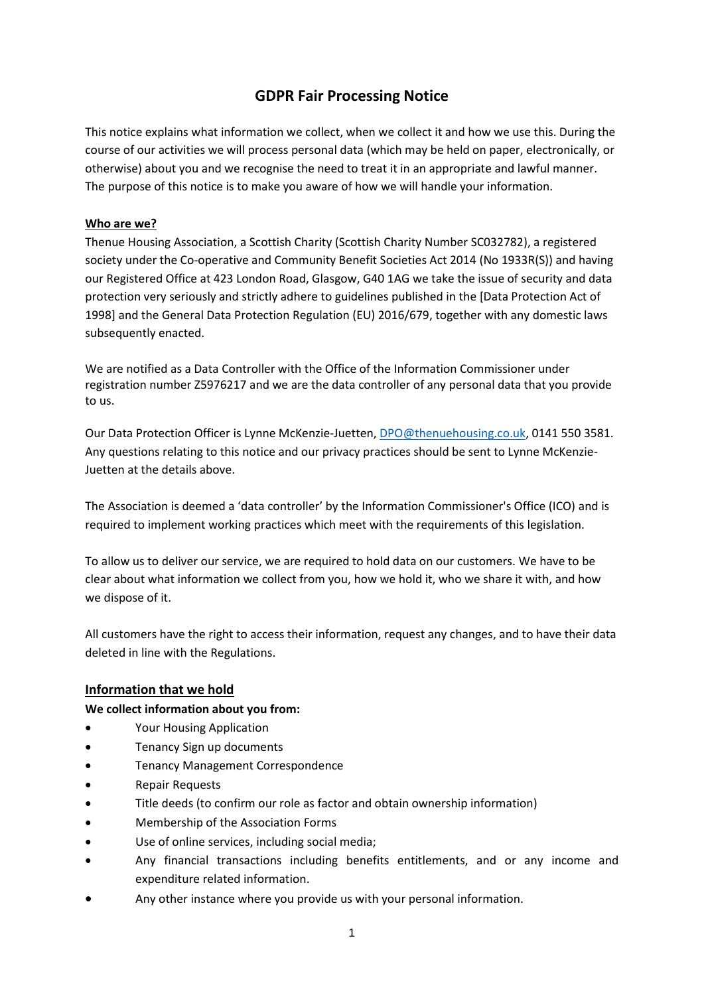# **GDPR Fair Processing Notice**

This notice explains what information we collect, when we collect it and how we use this. During the course of our activities we will process personal data (which may be held on paper, electronically, or otherwise) about you and we recognise the need to treat it in an appropriate and lawful manner. The purpose of this notice is to make you aware of how we will handle your information.

#### **Who are we?**

Thenue Housing Association, a Scottish Charity (Scottish Charity Number SC032782), a registered society under the Co-operative and Community Benefit Societies Act 2014 (No 1933R(S)) and having our Registered Office at 423 London Road, Glasgow, G40 1AG we take the issue of security and data protection very seriously and strictly adhere to guidelines published in the [Data Protection Act of 1998] and the General Data Protection Regulation (EU) 2016/679, together with any domestic laws subsequently enacted.

We are notified as a Data Controller with the Office of the Information Commissioner under registration number Z5976217 and we are the data controller of any personal data that you provide to us.

Our Data Protection Officer is Lynne McKenzie-Juetten, [DPO@thenuehousing.co.uk,](mailto:DPO@thenuehousing.co.uk) 0141 550 3581. Any questions relating to this notice and our privacy practices should be sent to Lynne McKenzie-Juetten at the details above.

The Association is deemed a 'data controller' by the Information Commissioner's Office (ICO) and is required to implement working practices which meet with the requirements of this legislation.

To allow us to deliver our service, we are required to hold data on our customers. We have to be clear about what information we collect from you, how we hold it, who we share it with, and how we dispose of it.

All customers have the right to access their information, request any changes, and to have their data deleted in line with the Regulations.

### **Information that we hold**

#### **We collect information about you from:**

- Your Housing Application
- Tenancy Sign up documents
- Tenancy Management Correspondence
- Repair Requests
- Title deeds (to confirm our role as factor and obtain ownership information)
- Membership of the Association Forms
- Use of online services, including social media;
- Any financial transactions including benefits entitlements, and or any income and expenditure related information.
- Any other instance where you provide us with your personal information.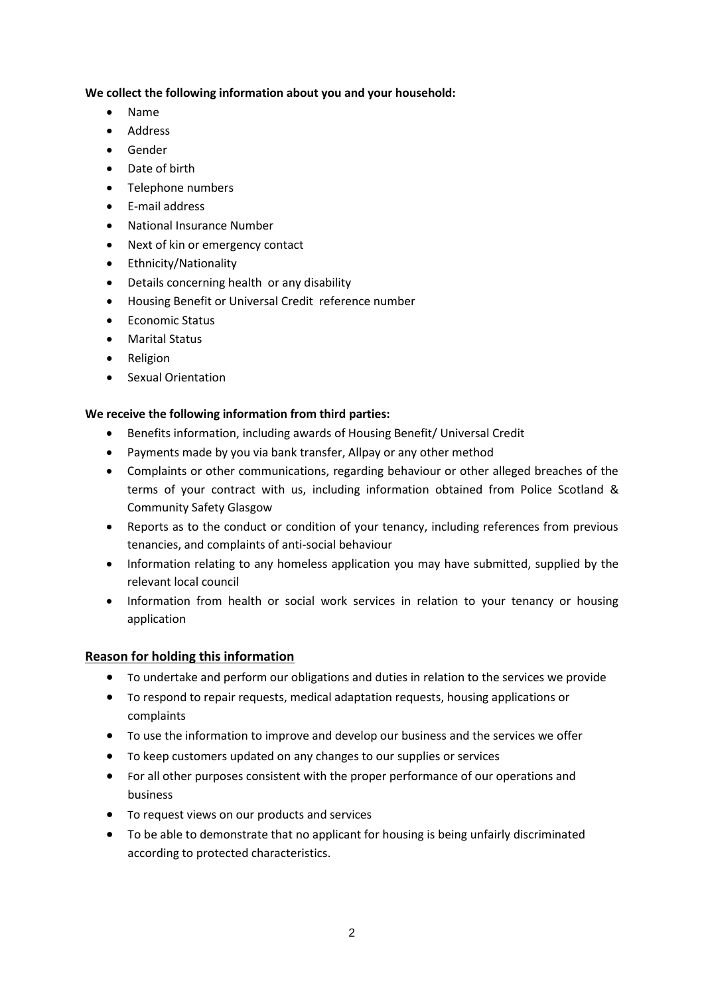### **We collect the following information about you and your household:**

- Name
- Address
- Gender
- Date of birth
- Telephone numbers
- E-mail address
- National Insurance Number
- Next of kin or emergency contact
- Ethnicity/Nationality
- Details concerning health or any disability
- Housing Benefit or Universal Credit reference number
- Economic Status
- Marital Status
- Religion
- Sexual Orientation

### **We receive the following information from third parties:**

- Benefits information, including awards of Housing Benefit/ Universal Credit
- Payments made by you via bank transfer, Allpay or any other method
- Complaints or other communications, regarding behaviour or other alleged breaches of the terms of your contract with us, including information obtained from Police Scotland & Community Safety Glasgow
- Reports as to the conduct or condition of your tenancy, including references from previous tenancies, and complaints of anti-social behaviour
- Information relating to any homeless application you may have submitted, supplied by the relevant local council
- Information from health or social work services in relation to your tenancy or housing application

### **Reason for holding this information**

- To undertake and perform our obligations and duties in relation to the services we provide
- To respond to repair requests, medical adaptation requests, housing applications or complaints
- To use the information to improve and develop our business and the services we offer
- To keep customers updated on any changes to our supplies or services
- For all other purposes consistent with the proper performance of our operations and business
- To request views on our products and services
- To be able to demonstrate that no applicant for housing is being unfairly discriminated according to protected characteristics.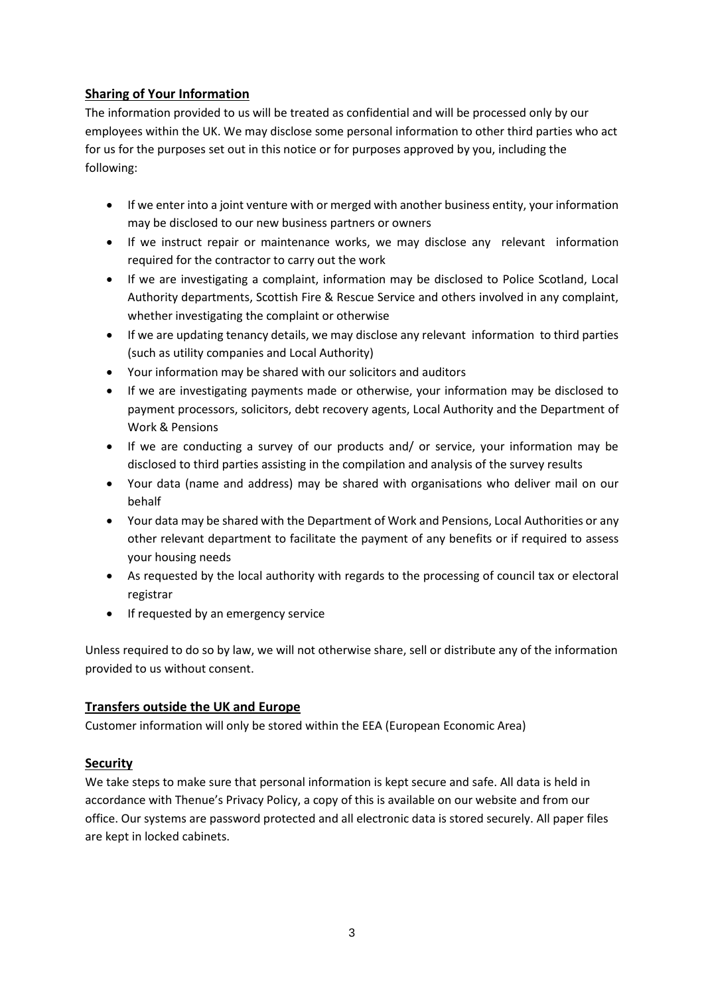# **Sharing of Your Information**

The information provided to us will be treated as confidential and will be processed only by our employees within the UK. We may disclose some personal information to other third parties who act for us for the purposes set out in this notice or for purposes approved by you, including the following:

- If we enter into a joint venture with or merged with another business entity, your information may be disclosed to our new business partners or owners
- If we instruct repair or maintenance works, we may disclose any relevant information required for the contractor to carry out the work
- If we are investigating a complaint, information may be disclosed to Police Scotland, Local Authority departments, Scottish Fire & Rescue Service and others involved in any complaint, whether investigating the complaint or otherwise
- If we are updating tenancy details, we may disclose any relevant information to third parties (such as utility companies and Local Authority)
- Your information may be shared with our solicitors and auditors
- If we are investigating payments made or otherwise, your information may be disclosed to payment processors, solicitors, debt recovery agents, Local Authority and the Department of Work & Pensions
- If we are conducting a survey of our products and/ or service, your information may be disclosed to third parties assisting in the compilation and analysis of the survey results
- Your data (name and address) may be shared with organisations who deliver mail on our behalf
- Your data may be shared with the Department of Work and Pensions, Local Authorities or any other relevant department to facilitate the payment of any benefits or if required to assess your housing needs
- As requested by the local authority with regards to the processing of council tax or electoral registrar
- If requested by an emergency service

Unless required to do so by law, we will not otherwise share, sell or distribute any of the information provided to us without consent.

## **Transfers outside the UK and Europe**

Customer information will only be stored within the EEA (European Economic Area)

## **Security**

We take steps to make sure that personal information is kept secure and safe. All data is held in accordance with Thenue's Privacy Policy, a copy of this is available on our website and from our office. Our systems are password protected and all electronic data is stored securely. All paper files are kept in locked cabinets.